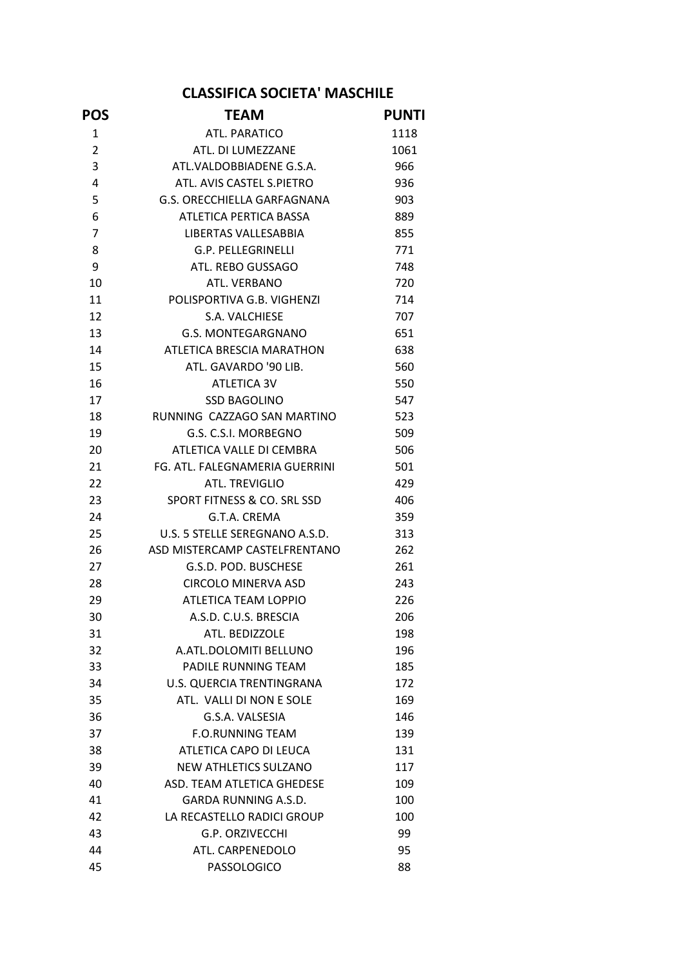## CLASSIFICA SOCIETA' MASCHILE

| <b>POS</b>     | <b>TEAM</b>                    | <b>PUNTI</b> |
|----------------|--------------------------------|--------------|
| 1              | ATL. PARATICO                  | 1118         |
| $\overline{2}$ | ATL. DI LUMEZZANE              | 1061         |
| 3              | ATL.VALDOBBIADENE G.S.A.       | 966          |
| $\overline{4}$ | ATL. AVIS CASTEL S.PIETRO      | 936          |
| 5              | G.S. ORECCHIELLA GARFAGNANA    | 903          |
| 6              | ATLETICA PERTICA BASSA         | 889          |
| $\overline{7}$ | LIBERTAS VALLESABBIA           | 855          |
| 8              | G.P. PELLEGRINELLI             | 771          |
| 9              | ATL. REBO GUSSAGO              | 748          |
| 10             | ATL. VERBANO                   | 720          |
| 11             | POLISPORTIVA G.B. VIGHENZI     | 714          |
| 12             | S.A. VALCHIESE                 | 707          |
| 13             | G.S. MONTEGARGNANO             | 651          |
| 14             | ATLETICA BRESCIA MARATHON      | 638          |
| 15             | ATL. GAVARDO '90 LIB.          | 560          |
| 16             | ATLETICA 3V                    | 550          |
| 17             | <b>SSD BAGOLINO</b>            | 547          |
| 18             | RUNNING CAZZAGO SAN MARTINO    | 523          |
| 19             | G.S. C.S.I. MORBEGNO           | 509          |
| 20             | ATLETICA VALLE DI CEMBRA       | 506          |
| 21             | FG. ATL. FALEGNAMERIA GUERRINI | 501          |
| 22             | ATL. TREVIGLIO                 | 429          |
| 23             | SPORT FITNESS & CO. SRL SSD    | 406          |
| 24             | G.T.A. CREMA                   | 359          |
| 25             | U.S. 5 STELLE SEREGNANO A.S.D. | 313          |
| 26             | ASD MISTERCAMP CASTELFRENTANO  | 262          |
| 27             | G.S.D. POD. BUSCHESE           | 261          |
| 28             | CIRCOLO MINERVA ASD            | 243          |
| 29             | ATLETICA TEAM LOPPIO           | 226          |
| 30             | A.S.D. C.U.S. BRESCIA          | 206          |
| 31             | ATL. BEDIZZOLE                 | 198          |
| 32             | A.ATL.DOLOMITI BELLUNO         | 196          |
| 33             | PADILE RUNNING TEAM            | 185          |
| 34             | U.S. QUERCIA TRENTINGRANA      | 172          |
| 35             | ATL. VALLI DI NON E SOLE       | 169          |
| 36             | G.S.A. VALSESIA                | 146          |
| 37             | <b>F.O.RUNNING TEAM</b>        | 139          |
| 38             | ATLETICA CAPO DI LEUCA         | 131          |
| 39             | <b>NEW ATHLETICS SULZANO</b>   | 117          |
| 40             | ASD. TEAM ATLETICA GHEDESE     | 109          |
| 41             | GARDA RUNNING A.S.D.           | 100          |
| 42             | LA RECASTELLO RADICI GROUP     | 100          |
| 43             | <b>G.P. ORZIVECCHI</b>         | 99           |
| 44             | ATL. CARPENEDOLO               | 95           |
| 45             | PASSOLOGICO                    | 88           |